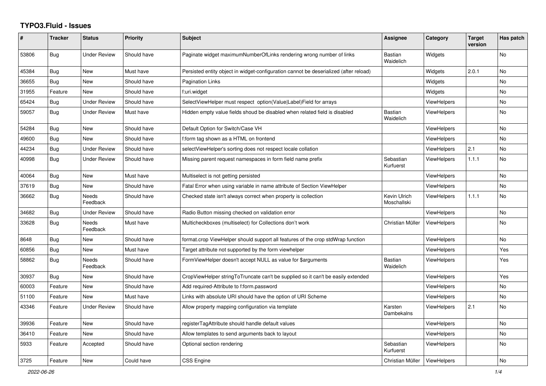## **TYPO3.Fluid - Issues**

| #     | <b>Tracker</b> | <b>Status</b>            | <b>Priority</b> | Subject                                                                               | Assignee                    | Category           | <b>Target</b><br>version | Has patch |
|-------|----------------|--------------------------|-----------------|---------------------------------------------------------------------------------------|-----------------------------|--------------------|--------------------------|-----------|
| 53806 | <b>Bug</b>     | Under Review             | Should have     | Paginate widget maximumNumberOfLinks rendering wrong number of links                  | <b>Bastian</b><br>Waidelich | Widgets            |                          | No        |
| 45384 | Bug            | <b>New</b>               | Must have       | Persisted entity object in widget-configuration cannot be deserialized (after reload) |                             | Widgets            | 2.0.1                    | No        |
| 36655 | Bug            | New                      | Should have     | Pagination Links                                                                      |                             | Widgets            |                          | No        |
| 31955 | Feature        | New                      | Should have     | f:uri.widget                                                                          |                             | Widgets            |                          | No        |
| 65424 | Bug            | <b>Under Review</b>      | Should have     | SelectViewHelper must respect option(Value Label)Field for arrays                     |                             | <b>ViewHelpers</b> |                          | No        |
| 59057 | Bug            | <b>Under Review</b>      | Must have       | Hidden empty value fields shoud be disabled when related field is disabled            | <b>Bastian</b><br>Waidelich | <b>ViewHelpers</b> |                          | No        |
| 54284 | Bug            | <b>New</b>               | Should have     | Default Option for Switch/Case VH                                                     |                             | <b>ViewHelpers</b> |                          | No        |
| 49600 | Bug            | <b>New</b>               | Should have     | f:form tag shown as a HTML on frontend                                                |                             | <b>ViewHelpers</b> |                          | No        |
| 44234 | Bug            | <b>Under Review</b>      | Should have     | selectViewHelper's sorting does not respect locale collation                          |                             | <b>ViewHelpers</b> | 2.1                      | No        |
| 40998 | <b>Bug</b>     | Under Review             | Should have     | Missing parent request namespaces in form field name prefix                           | Sebastian<br>Kurfuerst      | <b>ViewHelpers</b> | 1.1.1                    | No        |
| 40064 | <b>Bug</b>     | New                      | Must have       | Multiselect is not getting persisted                                                  |                             | <b>ViewHelpers</b> |                          | No        |
| 37619 | Bug            | <b>New</b>               | Should have     | Fatal Error when using variable in name attribute of Section ViewHelper               |                             | ViewHelpers        |                          | No        |
| 36662 | Bug            | <b>Needs</b><br>Feedback | Should have     | Checked state isn't always correct when property is collection                        | Kevin Ulrich<br>Moschallski | <b>ViewHelpers</b> | 1.1.1                    | No        |
| 34682 | Bug            | <b>Under Review</b>      | Should have     | Radio Button missing checked on validation error                                      |                             | <b>ViewHelpers</b> |                          | No        |
| 33628 | Bug            | Needs<br>Feedback        | Must have       | Multicheckboxes (multiselect) for Collections don't work                              | Christian Müller            | ViewHelpers        |                          | No        |
| 8648  | Bug            | New                      | Should have     | format.crop ViewHelper should support all features of the crop stdWrap function       |                             | <b>ViewHelpers</b> |                          | No        |
| 60856 | Bug            | New                      | Must have       | Target attribute not supported by the form viewhelper                                 |                             | <b>ViewHelpers</b> |                          | Yes       |
| 58862 | Bug            | Needs<br>Feedback        | Should have     | FormViewHelper doesn't accept NULL as value for \$arguments                           | <b>Bastian</b><br>Waidelich | <b>ViewHelpers</b> |                          | Yes       |
| 30937 | Bug            | <b>New</b>               | Should have     | CropViewHelper stringToTruncate can't be supplied so it can't be easily extended      |                             | <b>ViewHelpers</b> |                          | Yes       |
| 60003 | Feature        | New                      | Should have     | Add required-Attribute to f:form.password                                             |                             | <b>ViewHelpers</b> |                          | No        |
| 51100 | Feature        | New                      | Must have       | Links with absolute URI should have the option of URI Scheme                          |                             | <b>ViewHelpers</b> |                          | No        |
| 43346 | Feature        | <b>Under Review</b>      | Should have     | Allow property mapping configuration via template                                     | Karsten<br>Dambekalns       | <b>ViewHelpers</b> | 2.1                      | No        |
| 39936 | Feature        | New                      | Should have     | registerTagAttribute should handle default values                                     |                             | <b>ViewHelpers</b> |                          | No        |
| 36410 | Feature        | <b>New</b>               | Should have     | Allow templates to send arguments back to layout                                      |                             | <b>ViewHelpers</b> |                          | No        |
| 5933  | Feature        | Accepted                 | Should have     | Optional section rendering                                                            | Sebastian<br>Kurfuerst      | <b>ViewHelpers</b> |                          | No        |
| 3725  | Feature        | <b>New</b>               | Could have      | <b>CSS Engine</b>                                                                     | Christian Müller            | ViewHelpers        |                          | No        |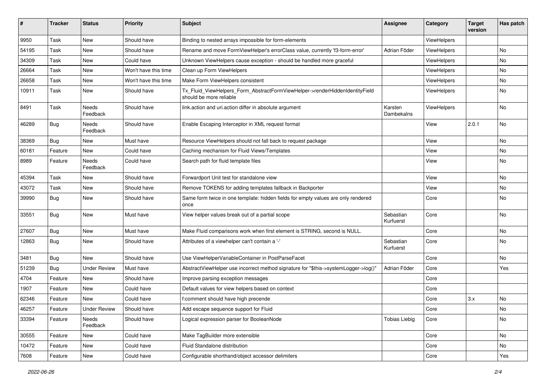| ∦     | <b>Tracker</b> | <b>Status</b>       | <b>Priority</b>      | <b>Subject</b>                                                                                         | <b>Assignee</b>        | Category           | <b>Target</b><br>version | Has patch |
|-------|----------------|---------------------|----------------------|--------------------------------------------------------------------------------------------------------|------------------------|--------------------|--------------------------|-----------|
| 9950  | Task           | New                 | Should have          | Binding to nested arrays impossible for form-elements                                                  |                        | ViewHelpers        |                          |           |
| 54195 | Task           | New                 | Should have          | Rename and move FormViewHelper's errorClass value, currently 'f3-form-error'                           | Adrian Föder           | ViewHelpers        |                          | No        |
| 34309 | Task           | New                 | Could have           | Unknown ViewHelpers cause exception - should be handled more graceful                                  |                        | <b>ViewHelpers</b> |                          | No        |
| 26664 | Task           | New                 | Won't have this time | Clean up Form ViewHelpers                                                                              |                        | ViewHelpers        |                          | No        |
| 26658 | Task           | New                 | Won't have this time | Make Form ViewHelpers consistent                                                                       |                        | ViewHelpers        |                          | No        |
| 10911 | Task           | New                 | Should have          | Tx_Fluid_ViewHelpers_Form_AbstractFormViewHelper->renderHiddenIdentityField<br>should be more reliable |                        | ViewHelpers        |                          | No        |
| 8491  | Task           | Needs<br>Feedback   | Should have          | link.action and uri.action differ in absolute argument                                                 | Karsten<br>Dambekalns  | ViewHelpers        |                          | No        |
| 46289 | Bug            | Needs<br>Feedback   | Should have          | Enable Escaping Interceptor in XML request format                                                      |                        | View               | 2.0.1                    | No        |
| 38369 | Bug            | New                 | Must have            | Resource ViewHelpers should not fall back to request package                                           |                        | View               |                          | No        |
| 60181 | Feature        | New                 | Could have           | Caching mechanism for Fluid Views/Templates                                                            |                        | View               |                          | No        |
| 8989  | Feature        | Needs<br>Feedback   | Could have           | Search path for fluid template files                                                                   |                        | View               |                          | No        |
| 45394 | Task           | New                 | Should have          | Forwardport Unit test for standalone view                                                              |                        | View               |                          | No        |
| 43072 | Task           | New                 | Should have          | Remove TOKENS for adding templates fallback in Backporter                                              |                        | View               |                          | No        |
| 39990 | Bug            | New                 | Should have          | Same form twice in one template: hidden fields for empty values are only rendered<br>once              |                        | Core               |                          | No        |
| 33551 | Bug            | New                 | Must have            | View helper values break out of a partial scope                                                        | Sebastian<br>Kurfuerst | Core               |                          | No        |
| 27607 | Bug            | New                 | Must have            | Make Fluid comparisons work when first element is STRING, second is NULL.                              |                        | Core               |                          | No        |
| 12863 | Bug            | New                 | Should have          | Attributes of a viewhelper can't contain a '-'                                                         | Sebastian<br>Kurfuerst | Core               |                          | No        |
| 3481  | <b>Bug</b>     | New                 | Should have          | Use ViewHelperVariableContainer in PostParseFacet                                                      |                        | Core               |                          | No        |
| 51239 | <b>Bug</b>     | <b>Under Review</b> | Must have            | AbstractViewHelper use incorrect method signature for "\$this->systemLogger->log()"                    | Adrian Föder           | Core               |                          | Yes       |
| 4704  | Feature        | New                 | Should have          | Improve parsing exception messages                                                                     |                        | Core               |                          |           |
| 1907  | Feature        | New                 | Could have           | Default values for view helpers based on context                                                       |                        | Core               |                          |           |
| 62346 | Feature        | New                 | Could have           | f:comment should have high precende                                                                    |                        | Core               | 3.x                      | No        |
| 46257 | Feature        | <b>Under Review</b> | Should have          | Add escape sequence support for Fluid                                                                  |                        | Core               |                          | No        |
| 33394 | Feature        | Needs<br>Feedback   | Should have          | Logical expression parser for BooleanNode                                                              | <b>Tobias Liebig</b>   | Core               |                          | No        |
| 30555 | Feature        | New                 | Could have           | Make TagBuilder more extensible                                                                        |                        | Core               |                          | No        |
| 10472 | Feature        | New                 | Could have           | Fluid Standalone distribution                                                                          |                        | Core               |                          | No        |
| 7608  | Feature        | New                 | Could have           | Configurable shorthand/object accessor delimiters                                                      |                        | Core               |                          | Yes       |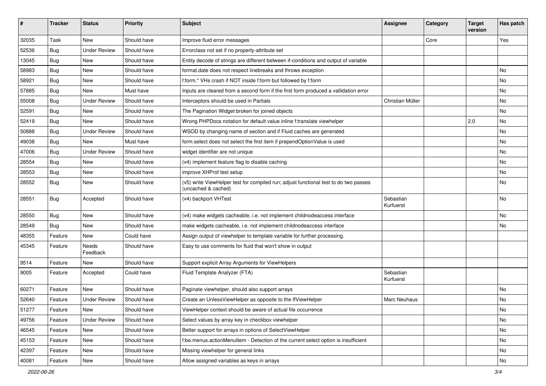| #     | <b>Tracker</b> | <b>Status</b>       | <b>Priority</b> | <b>Subject</b>                                                                                              | Assignee               | Category | <b>Target</b><br>version | Has patch |
|-------|----------------|---------------------|-----------------|-------------------------------------------------------------------------------------------------------------|------------------------|----------|--------------------------|-----------|
| 32035 | Task           | New                 | Should have     | Improve fluid error messages                                                                                |                        | Core     |                          | Yes       |
| 52536 | Bug            | <b>Under Review</b> | Should have     | Errorclass not set if no property-attribute set                                                             |                        |          |                          |           |
| 13045 | Bug            | New                 | Should have     | Entity decode of strings are different between if-conditions and output of variable                         |                        |          |                          |           |
| 58983 | Bug            | New                 | Should have     | format.date does not respect linebreaks and throws exception                                                |                        |          |                          | No        |
| 58921 | Bug            | New                 | Should have     | f:form.* VHs crash if NOT inside f:form but followed by f:form                                              |                        |          |                          | No        |
| 57885 | Bug            | New                 | Must have       | Inputs are cleared from a second form if the first form produced a vallidation error                        |                        |          |                          | No        |
| 55008 | Bug            | <b>Under Review</b> | Should have     | Interceptors should be used in Partials                                                                     | Christian Müller       |          |                          | No        |
| 52591 | Bug            | New                 | Should have     | The Pagination Widget broken for joined objects                                                             |                        |          |                          | No        |
| 52419 | Bug            | <b>New</b>          | Should have     | Wrong PHPDocs notation for default value inline f:translate viewhelper                                      |                        |          | 2.0                      | No        |
| 50888 | Bug            | <b>Under Review</b> | Should have     | WSOD by changing name of section and if Fluid caches are generated                                          |                        |          |                          | No        |
| 49038 | Bug            | New                 | Must have       | form.select does not select the first item if prependOptionValue is used                                    |                        |          |                          | <b>No</b> |
| 47006 | Bug            | <b>Under Review</b> | Should have     | widget identifier are not unique                                                                            |                        |          |                          | No        |
| 28554 | Bug            | New                 | Should have     | (v4) implement feature flag to disable caching                                                              |                        |          |                          | No        |
| 28553 | Bug            | New                 | Should have     | improve XHProf test setup                                                                                   |                        |          |                          | No        |
| 28552 | Bug            | New                 | Should have     | (v5) write ViewHelper test for compiled run; adjust functional test to do two passes<br>(uncached & cached) |                        |          |                          | No        |
| 28551 | Bug            | Accepted            | Should have     | (v4) backport VHTest                                                                                        | Sebastian<br>Kurfuerst |          |                          | <b>No</b> |
| 28550 | Bug            | New                 | Should have     | (v4) make widgets cacheable, i.e. not implement childnodeaccess interface                                   |                        |          |                          | <b>No</b> |
| 28549 | Bug            | New                 | Should have     | make widgets cacheable, i.e. not implement childnodeaccess interface                                        |                        |          |                          | No        |
| 48355 | Feature        | New                 | Could have      | Assign output of viewhelper to template variable for further processing.                                    |                        |          |                          |           |
| 45345 | Feature        | Needs<br>Feedback   | Should have     | Easy to use comments for fluid that won't show in output                                                    |                        |          |                          |           |
| 9514  | Feature        | New                 | Should have     | Support explicit Array Arguments for ViewHelpers                                                            |                        |          |                          |           |
| 9005  | Feature        | Accepted            | Could have      | Fluid Template Analyzer (FTA)                                                                               | Sebastian<br>Kurfuerst |          |                          |           |
| 60271 | Feature        | <b>New</b>          | Should have     | Paginate viewhelper, should also support arrays                                                             |                        |          |                          | <b>No</b> |
| 52640 | Feature        | <b>Under Review</b> | Should have     | Create an UnlessViewHelper as opposite to the IfViewHelper                                                  | Marc Neuhaus           |          |                          | No        |
| 51277 | Feature        | New                 | Should have     | ViewHelper context should be aware of actual file occurrence                                                |                        |          |                          | N0        |
| 49756 | Feature        | <b>Under Review</b> | Should have     | Select values by array key in checkbox viewhelper                                                           |                        |          |                          | No        |
| 46545 | Feature        | New                 | Should have     | Better support for arrays in options of SelectViewHelper                                                    |                        |          |                          | No        |
| 45153 | Feature        | New                 | Should have     | f:be.menus.actionMenuItem - Detection of the current select option is insufficient                          |                        |          |                          | No        |
| 42397 | Feature        | New                 | Should have     | Missing viewhelper for general links                                                                        |                        |          |                          | No        |
| 40081 | Feature        | New                 | Should have     | Allow assigned variables as keys in arrays                                                                  |                        |          |                          | No        |